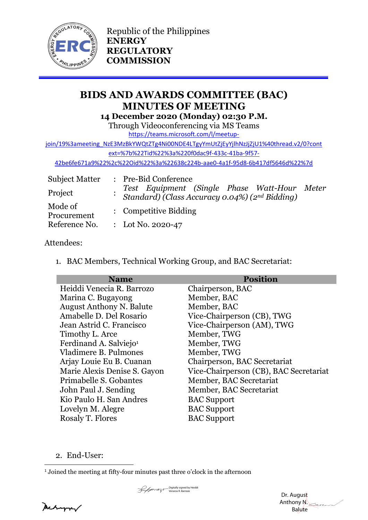

Republic of the Philippines **ENERGY REGULATORY COMMISSION**

# **BIDS AND AWARDS COMMITTEE (BAC) MINUTES OF MEETING 14 December 2020 (Monday) 02:30 P.M.**

Through Videoconferencing via MS Teams

[https://teams.microsoft.com/l/meetup-](https://teams.microsoft.com/l/meetup-join/19%3ameeting_NzE3MzBkYWQtZTg4Ni00NDE4LTgyYmUtZjEyYjlhNzJjZjU1%40thread.v2/0?context=%7b%22Tid%22%3a%220f0dac9f-433c-41ba-9f57-42be6fe671a9%22%2c%22Oid%22%3a%22638c224b-aae0-4a1f-95d8-6b417df5646d%22%7d)

[join/19%3ameeting\\_NzE3MzBkYWQtZTg4Ni00NDE4LTgyYmUtZjEyYjlhNzJjZjU1%40thread.v2/0?cont](https://teams.microsoft.com/l/meetup-join/19%3ameeting_NzE3MzBkYWQtZTg4Ni00NDE4LTgyYmUtZjEyYjlhNzJjZjU1%40thread.v2/0?context=%7b%22Tid%22%3a%220f0dac9f-433c-41ba-9f57-42be6fe671a9%22%2c%22Oid%22%3a%22638c224b-aae0-4a1f-95d8-6b417df5646d%22%7d) [ext=%7b%22Tid%22%3a%220f0dac9f-433c-41ba-9f57-](https://teams.microsoft.com/l/meetup-join/19%3ameeting_NzE3MzBkYWQtZTg4Ni00NDE4LTgyYmUtZjEyYjlhNzJjZjU1%40thread.v2/0?context=%7b%22Tid%22%3a%220f0dac9f-433c-41ba-9f57-42be6fe671a9%22%2c%22Oid%22%3a%22638c224b-aae0-4a1f-95d8-6b417df5646d%22%7d)

[42be6fe671a9%22%2c%22Oid%22%3a%22638c224b-aae0-4a1f-95d8-6b417df5646d%22%7d](https://teams.microsoft.com/l/meetup-join/19%3ameeting_NzE3MzBkYWQtZTg4Ni00NDE4LTgyYmUtZjEyYjlhNzJjZjU1%40thread.v2/0?context=%7b%22Tid%22%3a%220f0dac9f-433c-41ba-9f57-42be6fe671a9%22%2c%22Oid%22%3a%22638c224b-aae0-4a1f-95d8-6b417df5646d%22%7d)

| <b>Subject Matter</b>  |  | : Pre-Bid Conference                                                                                                    |  |  |
|------------------------|--|-------------------------------------------------------------------------------------------------------------------------|--|--|
| Project                |  | Test Equipment (Single Phase Watt-Hour Meter<br>Standard) (Class Accuracy 0.04%) (2nd Bidding)<br>: Competitive Bidding |  |  |
| Mode of<br>Procurement |  |                                                                                                                         |  |  |
| Reference No.          |  | : Lot No. 2020-47                                                                                                       |  |  |

## Attendees:

1. BAC Members, Technical Working Group, and BAC Secretariat:

| <b>Name</b>                        | <b>Position</b>                        |
|------------------------------------|----------------------------------------|
| Heiddi Venecia R. Barrozo          | Chairperson, BAC                       |
| Marina C. Bugayong                 | Member, BAC                            |
| <b>August Anthony N. Balute</b>    | Member, BAC                            |
| Amabelle D. Del Rosario            | Vice-Chairperson (CB), TWG             |
| Jean Astrid C. Francisco           | Vice-Chairperson (AM), TWG             |
| Timothy L. Arce                    | Member, TWG                            |
| Ferdinand A. Salviejo <sup>1</sup> | Member, TWG                            |
| Vladimere B. Pulmones              | Member, TWG                            |
| Arjay Louie Eu B. Cuanan           | Chairperson, BAC Secretariat           |
| Marie Alexis Denise S. Gayon       | Vice-Chairperson (CB), BAC Secretariat |
| Primabelle S. Gobantes             | Member, BAC Secretariat                |
| John Paul J. Sending               | Member, BAC Secretariat                |
| Kio Paulo H. San Andres            | <b>BAC</b> Support                     |
| Lovelyn M. Alegre                  | <b>BAC Support</b>                     |
| Rosaly T. Flores                   | <b>BAC</b> Support                     |

2. End-User:

Sum Digitally signed by Heiddi<br>Venecia R. Barrozo

Mechangrav

<sup>&</sup>lt;sup>1</sup> Joined the meeting at fifty-four minutes past three o'clock in the afternoon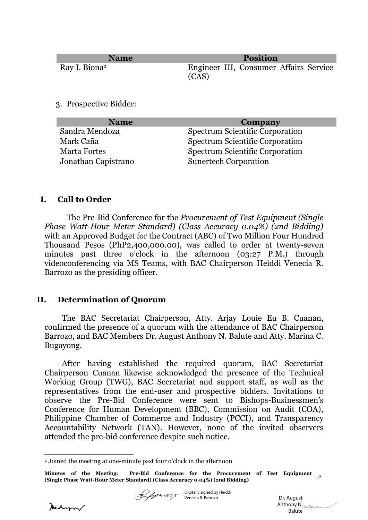| <b>Name</b>               | <b>Position</b>                        |
|---------------------------|----------------------------------------|
| Ray I. Biona <sup>2</sup> | Engineer III, Consumer Affairs Service |
|                           | (CAS)                                  |

3. Prospective Bidder:

| <b>Name</b>         | Company                                |
|---------------------|----------------------------------------|
| Sandra Mendoza      | <b>Spectrum Scientific Corporation</b> |
| Mark Caña           | <b>Spectrum Scientific Corporation</b> |
| <b>Marta Fortes</b> | <b>Spectrum Scientific Corporation</b> |
| Jonathan Capistrano | <b>Sunertech Corporation</b>           |

### **I. Call to Order**

The Pre-Bid Conference for the *Procurement of Test Equipment (Single Phase Watt-Hour Meter Standard) (Class Accuracy 0.04%) (2nd Bidding)* with an Approved Budget for the Contract (ABC) of Two Million Four Hundred Thousand Pesos (PhP2,400,000.00), was called to order at twenty-seven minutes past three o'clock in the afternoon (03:27 P.M.) through videoconferencing via MS Teams, with BAC Chairperson Heiddi Venecia R. Barrozo as the presiding officer.

#### **II. Determination of Quorum**

The BAC Secretariat Chairperson, Atty. Arjay Louie Eu B. Cuanan, confirmed the presence of a quorum with the attendance of BAC Chairperson Barrozo, and BAC Members Dr. August Anthony N. Balute and Atty. Marina C. Bugayong.

After having established the required quorum, BAC Secretariat Chairperson Cuanan likewise acknowledged the presence of the Technical Working Group (TWG), BAC Secretariat and support staff, as well as the representatives from the end-user and prospective bidders. Invitations to observe the Pre-Bid Conference were sent to Bishops-Businessmen's Conference for Human Development (BBC), Commission on Audit (COA), Philippine Chamber of Commerce and Industry (PCCI), and Transparency Accountability Network (TAN). However, none of the invited observers attended the pre-bid conference despite such notice.

Digitally signed by Heiddi Venecia R. Barrozo

Mehann/

<sup>2</sup> Joined the meeting at one-minute past four o'clock in the afternoon

**Minutes of the Meeting: Pre-Bid Conference for the Procurement of Test Equipment (Single Phase Watt-Hour Meter Standard) (Class Accuracy 0.04%) (2nd Bidding)** *<sup>2</sup>*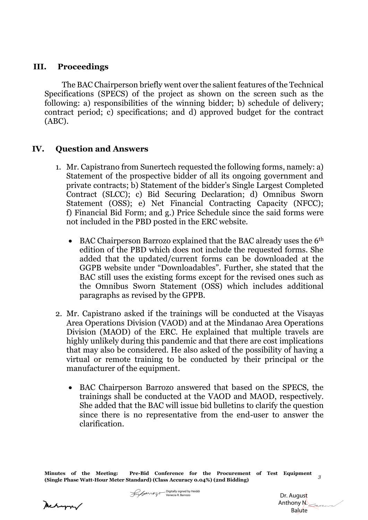### **III. Proceedings**

The BAC Chairperson briefly went over the salient features of the Technical Specifications (SPECS) of the project as shown on the screen such as the following: a) responsibilities of the winning bidder; b) schedule of delivery; contract period; c) specifications; and d) approved budget for the contract (ABC).

# **IV. Question and Answers**

- 1. Mr. Capistrano from Sunertech requested the following forms, namely: a) Statement of the prospective bidder of all its ongoing government and private contracts; b) Statement of the bidder's Single Largest Completed Contract (SLCC); c) Bid Securing Declaration; d) Omnibus Sworn Statement (OSS); e) Net Financial Contracting Capacity (NFCC); f) Financial Bid Form; and g.) Price Schedule since the said forms were not included in the PBD posted in the ERC website.
	- BAC Chairperson Barrozo explained that the BAC already uses the 6th edition of the PBD which does not include the requested forms. She added that the updated/current forms can be downloaded at the GGPB website under "Downloadables". Further, she stated that the BAC still uses the existing forms except for the revised ones such as the Omnibus Sworn Statement (OSS) which includes additional paragraphs as revised by the GPPB.
- 2. Mr. Capistrano asked if the trainings will be conducted at the Visayas Area Operations Division (VAOD) and at the Mindanao Area Operations Division (MAOD) of the ERC. He explained that multiple travels are highly unlikely during this pandemic and that there are cost implications that may also be considered. He also asked of the possibility of having a virtual or remote training to be conducted by their principal or the manufacturer of the equipment.
	- BAC Chairperson Barrozo answered that based on the SPECS, the trainings shall be conducted at the VAOD and MAOD, respectively. She added that the BAC will issue bid bulletins to clarify the question since there is no representative from the end-user to answer the clarification.

**Minutes of the Meeting: Pre-Bid Conference for the Procurement of Test Equipment (Single Phase Watt-Hour Meter Standard) (Class Accuracy 0.04%) (2nd Bidding)** *<sup>3</sup>*

Digitally signed by Heiddi Venecia R. Barrozo

 Dr. August Anthony N. Balute

Mechanon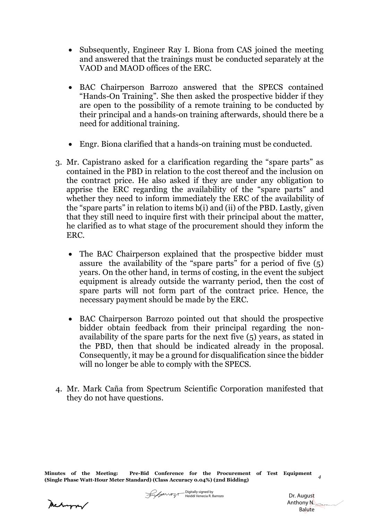- Subsequently, Engineer Ray I. Biona from CAS joined the meeting and answered that the trainings must be conducted separately at the VAOD and MAOD offices of the ERC.
- BAC Chairperson Barrozo answered that the SPECS contained "Hands-On Training". She then asked the prospective bidder if they are open to the possibility of a remote training to be conducted by their principal and a hands-on training afterwards, should there be a need for additional training.
- Engr. Biona clarified that a hands-on training must be conducted.
- 3. Mr. Capistrano asked for a clarification regarding the "spare parts" as contained in the PBD in relation to the cost thereof and the inclusion on the contract price. He also asked if they are under any obligation to apprise the ERC regarding the availability of the "spare parts" and whether they need to inform immediately the ERC of the availability of the "spare parts" in relation to items b(i) and (ii) of the PBD. Lastly, given that they still need to inquire first with their principal about the matter, he clarified as to what stage of the procurement should they inform the ERC.
	- The BAC Chairperson explained that the prospective bidder must assure the availability of the "spare parts" for a period of five  $(5)$ years. On the other hand, in terms of costing, in the event the subject equipment is already outside the warranty period, then the cost of spare parts will not form part of the contract price. Hence, the necessary payment should be made by the ERC.
	- BAC Chairperson Barrozo pointed out that should the prospective bidder obtain feedback from their principal regarding the nonavailability of the spare parts for the next five (5) years, as stated in the PBD, then that should be indicated already in the proposal. Consequently, it may be a ground for disqualification since the bidder will no longer be able to comply with the SPECS.
- 4. Mr. Mark Caña from Spectrum Scientific Corporation manifested that they do not have questions.

**Minutes of the Meeting: Pre-Bid Conference for the Procurement of Test Equipment (Single Phase Watt-Hour Meter Standard) (Class Accuracy 0.04%) (2nd Bidding)** *<sup>4</sup>*

Mechangran

 Dr. August Anthony N. Balute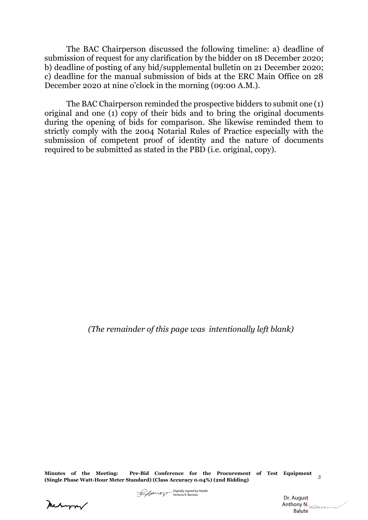The BAC Chairperson discussed the following timeline: a) deadline of submission of request for any clarification by the bidder on 18 December 2020; b) deadline of posting of any bid/supplemental bulletin on 21 December 2020; c) deadline for the manual submission of bids at the ERC Main Office on 28 December 2020 at nine o'clock in the morning (09:00 A.M.).

The BAC Chairperson reminded the prospective bidders to submit one (1) original and one (1) copy of their bids and to bring the original documents during the opening of bids for comparison. She likewise reminded them to strictly comply with the 2004 Notarial Rules of Practice especially with the submission of competent proof of identity and the nature of documents required to be submitted as stated in the PBD (i.e. original, copy).

*(The remainder of this page was intentionally left blank)*

**Minutes of the Meeting: Pre-Bid Conference for the Procurement of Test Equipment (Single Phase Watt-Hour Meter Standard) (Class Accuracy 0.04%) (2nd Bidding)** *<sup>5</sup>*

meturn



 Dr. August Anthony N. Balute